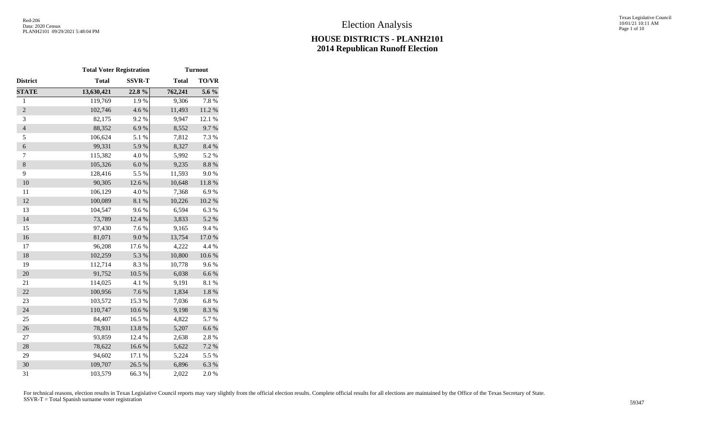Texas Legislative Council 10/01/21 10:11 AM Page 1 of 10

|                | <b>Total Voter Registration</b> |               |              | <b>Turnout</b> |
|----------------|---------------------------------|---------------|--------------|----------------|
| District       | <b>Total</b>                    | <b>SSVR-T</b> | <b>Total</b> | <b>TO/VR</b>   |
| <b>STATE</b>   | 13,630,421                      | 22.8%         | 762,241      | 5.6 %          |
| $\,1$          | 119,769                         | 1.9%          | 9,306        | 7.8%           |
| $\overline{c}$ | 102,746                         | 4.6%          | 11,493       | 11.2 %         |
| 3              | 82,175                          | 9.2%          | 9,947        | 12.1 %         |
| $\overline{4}$ | 88,352                          | 6.9%          | 8,552        | 9.7%           |
| 5              | 106,624                         | 5.1 %         | 7,812        | 7.3 %          |
| 6              | 99,331                          | 5.9%          | 8,327        | 8.4 %          |
| 7              | 115,382                         | 4.0 %         | 5,992        | 5.2 %          |
| $\,8$          | 105,326                         | $6.0~\%$      | 9,235        | $8.8\ \%$      |
| 9              | 128,416                         | 5.5 %         | 11,593       | 9.0%           |
| 10             | 90,305                          | 12.6 %        | 10,648       | $11.8\ \%$     |
| 11             | 106,129                         | 4.0%          | 7,368        | 6.9%           |
| 12             | 100,089                         | $8.1~\%$      | 10,226       | 10.2 %         |
| 13             | 104,547                         | 9.6%          | 6,594        | 6.3%           |
| 14             | 73,789                          | 12.4 %        | 3,833        | 5.2 %          |
| 15             | 97,430                          | 7.6%          | 9,165        | 9.4%           |
| 16             | 81,071                          | 9.0%          | 13,754       | 17.0 %         |
| 17             | 96,208                          | 17.6 %        | 4,222        | 4.4 %          |
| 18             | 102,259                         | 5.3 %         | 10,800       | $10.6~\%$      |
| 19             | 112,714                         | 8.3 %         | 10,778       | 9.6%           |
| 20             | 91,752                          | 10.5 %        | 6,038        | 6.6%           |
| 21             | 114,025                         | 4.1 %         | 9,191        | 8.1%           |
| 22             | 100,956                         | 7.6%          | 1,834        | $1.8\ \%$      |
| 23             | 103,572                         | 15.3 %        | 7,036        | 6.8%           |
| 24             | 110,747                         | $10.6~\%$     | 9,198        | 8.3 %          |
| 25             | 84,407                          | 16.5 %        | 4,822        | 5.7 %          |
| 26             | 78,931                          | 13.8 %        | 5,207        | 6.6 %          |
| 27             | 93,859                          | 12.4 %        | 2,638        | 2.8%           |
| 28             | 78,622                          | 16.6%         | 5,622        | 7.2 %          |
| 29             | 94,602                          | 17.1 %        | 5,224        | 5.5 %          |
| 30             | 109,707                         | 26.5 %        | 6,896        | 6.3%           |
| 31             | 103,579                         | 66.3%         | 2,022        | 2.0%           |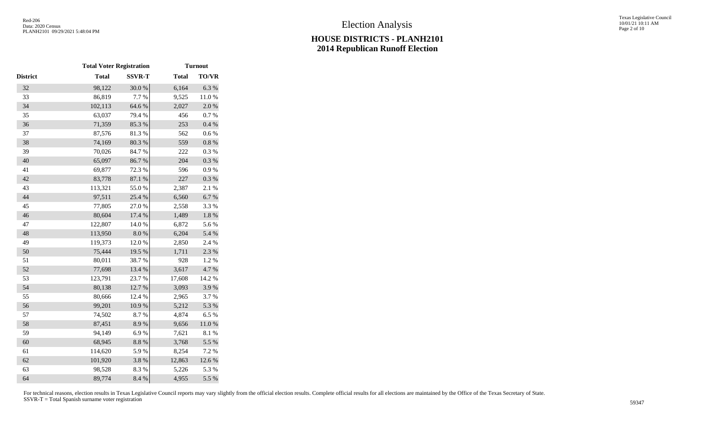|                 | <b>Total Voter Registration</b> |               |              | <b>Turnout</b> |
|-----------------|---------------------------------|---------------|--------------|----------------|
| <b>District</b> | <b>Total</b>                    | <b>SSVR-T</b> | <b>Total</b> | <b>TO/VR</b>   |
| 32              | 98,122                          | 30.0%         | 6,164        | 6.3%           |
| 33              | 86,819                          | 7.7 %         | 9,525        | 11.0%          |
| 34              | 102,113                         | 64.6 %        | 2,027        | $2.0\ \%$      |
| 35              | 63,037                          | 79.4%         | 456          | 0.7%           |
| 36              | 71,359                          | 85.3%         | 253          | 0.4 %          |
| 37              | 87,576                          | 81.3%         | 562          | $0.6\ \%$      |
| 38              | 74,169                          | 80.3 %        | 559          | $0.8~\%$       |
| 39              | 70,026                          | 84.7%         | 222          | $0.3~\%$       |
| 40              | 65,097                          | 86.7%         | 204          | $0.3~\%$       |
| 41              | 69,877                          | 72.3 %        | 596          | 0.9%           |
| 42              | 83,778                          | 87.1 %        | 227          | 0.3 %          |
| 43              | 113,321                         | 55.0%         | 2,387        | 2.1 %          |
| 44              | 97,511                          | 25.4 %        | 6,560        | 6.7%           |
| 45              | 77,805                          | 27.0%         | 2,558        | 3.3 %          |
| 46              | 80,604                          | 17.4 %        | 1,489        | $1.8~\%$       |
| 47              | 122,807                         | 14.0%         | 6,872        | 5.6%           |
| 48              | 113,950                         | $8.0\ \%$     | 6,204        | 5.4 %          |
| 49              | 119,373                         | 12.0%         | 2,850        | 2.4 %          |
| 50              | 75,444                          | 19.5 %        | 1,711        | 2.3 %          |
| 51              | 80,011                          | 38.7%         | 928          | 1.2%           |
| 52              | 77,698                          | 13.4 %        | 3,617        | 4.7 %          |
| 53              | 123,791                         | 23.7%         | 17,608       | 14.2 %         |
| 54              | 80,138                          | 12.7 %        | 3,093        | 3.9%           |
| 55              | 80,666                          | 12.4 %        | 2,965        | 3.7%           |
| 56              | 99,201                          | $10.9\ \%$    | 5,212        | 5.3 %          |
| 57              | 74,502                          | 8.7%          | 4,874        | 6.5%           |
| 58              | 87,451                          | 8.9%          | 9,656        | $11.0\ \%$     |
| 59              | 94,149                          | 6.9%          | 7,621        | 8.1 %          |
| 60              | 68,945                          | $8.8\ \%$     | 3,768        | 5.5 %          |
| 61              | 114,620                         | 5.9%          | 8,254        | 7.2 %          |
| 62              | 101,920                         | 3.8%          | 12,863       | 12.6 %         |
| 63              | 98,528                          | 8.3 %         | 5,226        | 5.3 %          |
| 64              | 89,774                          | 8.4 %         | 4,955        | 5.5 %          |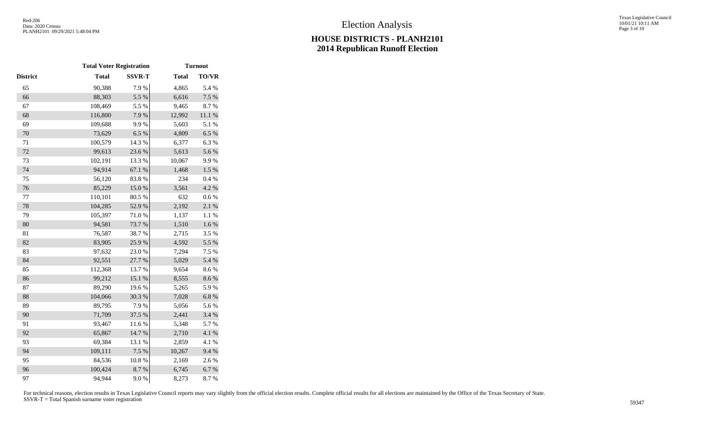|              |               |              | <b>Turnout</b>                  |
|--------------|---------------|--------------|---------------------------------|
| <b>Total</b> | <b>SSVR-T</b> | <b>Total</b> | <b>TO/VR</b>                    |
| 90,388       | 7.9%          | 4,865        | 5.4 %                           |
| 88,303       | 5.5 %         | 6,616        | 7.5 %                           |
| 108,469      | 5.5 %         | 9,465        | 8.7%                            |
| 116,800      | 7.9%          | 12,992       | $11.1~\%$                       |
| 109,688      | 9.9%          | 5,603        | 5.1 %                           |
| 73,629       | 6.5%          | 4,809        | 6.5%                            |
| 100,579      | 14.3 %        | 6,377        | 6.3%                            |
| 99,613       | 23.6 %        | 5,613        | 5.6%                            |
| 102,191      | 13.3 %        | 10,067       | 9.9%                            |
| 94,914       | 67.1 %        | 1,468        | $1.5\%$                         |
| 56,120       | 83.8%         | 234          | 0.4 %                           |
| 85,229       | $15.0\ \%$    | 3,561        | 4.2 %                           |
| 110,101      | 80.5 %        | 632          | 0.6 %                           |
| 104,285      | 52.9%         | 2,192        | 2.1%                            |
| 105,397      | 71.0%         | 1,137        | 1.1%                            |
| 94,581       | 73.7 %        | 1,510        | $1.6\ \%$                       |
| 76,587       | 38.7%         | 2,715        | 3.5%                            |
| 83,905       | 25.9%         | 4,592        | 5.5 %                           |
| 97,632       | 23.0%         | 7,294        | 7.5 %                           |
| 92,551       | 27.7 %        | 5,029        | 5.4 %                           |
| 112,368      | 13.7%         | 9,654        | 8.6%                            |
| 99,212       | 15.1 %        | 8,555        | 8.6%                            |
| 89,290       | 19.6%         | 5,265        | 5.9%                            |
| 104,066      | 30.3 %        | 7,028        | $6.8~\%$                        |
| 89,795       | 7.9%          | 5,056        | 5.6%                            |
| 71,709       | 37.5 %        | 2,441        | 3.4 %                           |
| 93,467       | 11.6 %        | 5,348        | 5.7%                            |
| 65,867       | 14.7 %        | 2,710        | 4.1 %                           |
| 69,384       | 13.1 %        | 2,859        | 4.1 %                           |
| 109,111      | 7.5 %         | 10,267       | 9.4%                            |
| 84,536       | $10.8~\%$     | 2,169        | 2.6%                            |
| 100,424      | 8.7%          | 6,745        | 6.7%                            |
| 94,944       | 9.0%          | 8,273        | 8.7%                            |
|              |               |              | <b>Total Voter Registration</b> |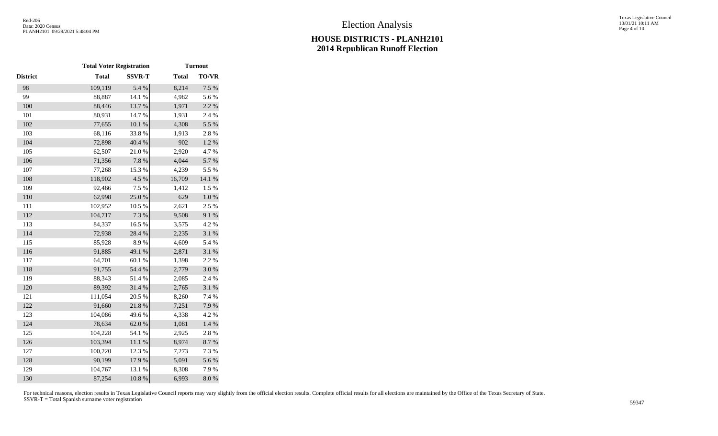|                 | <b>Total Voter Registration</b> |               |              | <b>Turnout</b> |
|-----------------|---------------------------------|---------------|--------------|----------------|
| <b>District</b> | <b>Total</b>                    | <b>SSVR-T</b> | <b>Total</b> | <b>TO/VR</b>   |
| 98              | 109,119                         | 5.4 %         | 8,214        | 7.5 %          |
| 99              | 88,887                          | 14.1 %        | 4,982        | 5.6%           |
| 100             | 88,446                          | 13.7%         | 1,971        | 2.2 %          |
| 101             | 80,931                          | 14.7%         | 1,931        | 2.4 %          |
| 102             | 77,655                          | $10.1~\%$     | 4,308        | 5.5 %          |
| 103             | 68,116                          | 33.8%         | 1,913        | 2.8%           |
| 104             | 72,898                          | 40.4 %        | 902          | 1.2%           |
| 105             | 62,507                          | 21.0%         | 2,920        | 4.7%           |
| 106             | 71,356                          | 7.8 %         | 4,044        | 5.7%           |
| 107             | 77,268                          | 15.3 %        | 4,239        | 5.5 %          |
| 108             | 118,902                         | 4.5 %         | 16,709       | 14.1 %         |
| 109             | 92,466                          | 7.5 %         | 1,412        | 1.5 %          |
| 110             | 62,998                          | 25.0%         | 629          | $1.0\ \%$      |
| 111             | 102,952                         | 10.5 %        | 2,621        | 2.5 %          |
| 112             | 104,717                         | 7.3 %         | 9,508        | 9.1 %          |
| 113             | 84,337                          | 16.5%         | 3,575        | 4.2%           |
| 114             | 72,938                          | 28.4 %        | 2,235        | 3.1 %          |
| 115             | 85,928                          | 8.9%          | 4,609        | 5.4 %          |
| 116             | 91,885                          | 49.1 %        | 2,871        | 3.1 %          |
| 117             | 64,701                          | 60.1%         | 1,398        | 2.2 %          |
| 118             | 91,755                          | 54.4 %        | 2,779        | $3.0\ \%$      |
| 119             | 88,343                          | 51.4%         | 2,085        | 2.4 %          |
| 120             | 89,392                          | 31.4 %        | 2,765        | 3.1 %          |
| 121             | 111,054                         | 20.5 %        | 8,260        | 7.4 %          |
| 122             | 91,660                          | 21.8%         | 7,251        | 7.9%           |
| 123             | 104,086                         | 49.6%         | 4,338        | 4.2 %          |
| 124             | 78,634                          | 62.0%         | 1,081        | 1.4 %          |
| 125             | 104,228                         | 54.1 %        | 2,925        | 2.8%           |
| 126             | 103,394                         | $11.1\ \%$    | 8,974        | 8.7%           |
| 127             | 100,220                         | 12.3 %        | 7,273        | 7.3 %          |
| 128             | 90,199                          | 17.9%         | 5,091        | 5.6 %          |
| 129             | 104,767                         | 13.1 %        | 8,308        | 7.9%           |
| 130             | 87,254                          | 10.8%         | 6,993        | 8.0 %          |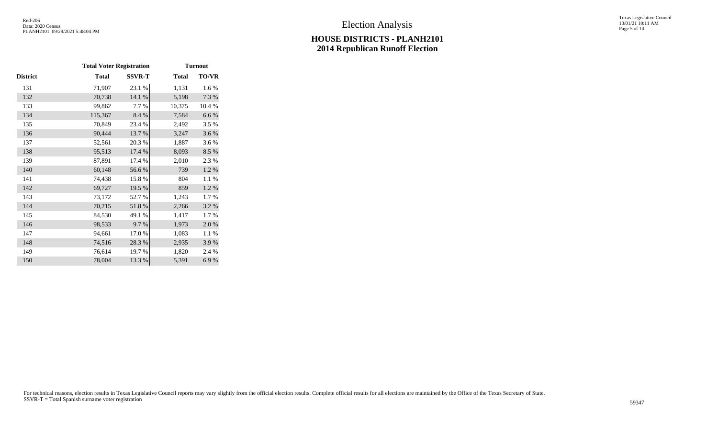|          | <b>Total Voter Registration</b> |               |              | <b>Turnout</b> |
|----------|---------------------------------|---------------|--------------|----------------|
| District | <b>Total</b>                    | <b>SSVR-T</b> | <b>Total</b> | TO/VR          |
| 131      | 71,907                          | 23.1 %        | 1,131        | 1.6 %          |
| 132      | 70,738                          | 14.1 %        | 5,198        | 7.3 %          |
| 133      | 99,862                          | 7.7 %         | 10,375       | 10.4 %         |
| 134      | 115,367                         | 8.4 %         | 7,584        | $6.6\;\%$      |
| 135      | 70,849                          | 23.4 %        | 2,492        | 3.5 %          |
| 136      | 90,444                          | 13.7 %        | 3,247        | 3.6%           |
| 137      | 52,561                          | 20.3%         | 1,887        | 3.6%           |
| 138      | 95,513                          | 17.4 %        | 8,093        | 8.5 %          |
| 139      | 87,891                          | 17.4 %        | 2,010        | 2.3 %          |
| 140      | 60,148                          | 56.6%         | 739          | 1.2%           |
| 141      | 74,438                          | 15.8%         | 804          | 1.1 %          |
| 142      | 69,727                          | 19.5 %        | 859          | 1.2 %          |
| 143      | 73,172                          | 52.7%         | 1,243        | 1.7%           |
| 144      | 70,215                          | 51.8%         | 2,266        | 3.2 %          |
| 145      | 84,530                          | 49.1 %        | 1,417        | 1.7 %          |
| 146      | 98,533                          | 9.7%          | 1,973        | 2.0%           |
| 147      | 94,661                          | 17.0%         | 1,083        | 1.1 %          |
| 148      | 74,516                          | 28.3%         | 2,935        | 3.9%           |
| 149      | 76,614                          | 19.7 %        | 1,820        | 2.4 %          |
| 150      | 78,004                          | 13.3 %        | 5,391        | 6.9%           |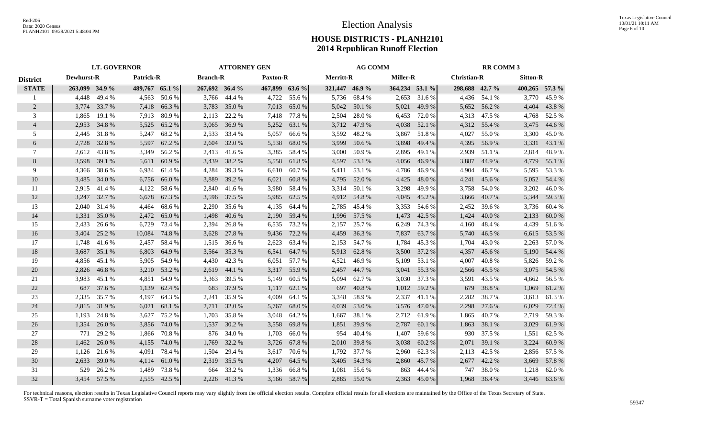|                 | <b>LT. GOVERNOR</b> |              |                  |        |                 |              | <b>ATTORNEY GEN</b> |             | <b>AG COMM</b>   |              |                 |        | <b>RR COMM 3</b>   |              |                |              |
|-----------------|---------------------|--------------|------------------|--------|-----------------|--------------|---------------------|-------------|------------------|--------------|-----------------|--------|--------------------|--------------|----------------|--------------|
| <b>District</b> | Dewhurst-R          |              | <b>Patrick-R</b> |        | <b>Branch-R</b> |              | <b>Paxton-R</b>     |             | <b>Merritt-R</b> |              | <b>Miller-R</b> |        | <b>Christian-R</b> |              | Sitton-R       |              |
| <b>STATE</b>    | 263,099 34.9 %      |              | 489,767 65.1 %   |        | 267,692 36.4 %  |              | 467,899 63.6 %      |             | 321,447 46.9 %   |              | 364,234 53.1 %  |        | 298,688 42.7 %     |              | 400,265 57.3 % |              |
|                 | 4,448               | 49.4 %       | 4,563            | 50.6%  | 3,766           | 44.4 %       | 4,722               | 55.6%       | 5,736            | 68.4%        | 2,653           | 31.6%  | 4,436              | 54.1 %       | 3,770          | 45.9%        |
| 2               | 3,774               | 33.7 %       | 7,418            | 66.3%  | 3,783           | 35.0 %       | 7,013               | 65.0%       | 5,042            | 50.1 %       | 5,021           | 49.9 % |                    | 5,652 56.2 % | 4,404          | 43.8%        |
| 3               | 1,865               | 19.1 %       | 7,913            | 80.9%  | 2,113           | 22.2 %       | 7,418               | 77.8%       | 2,504            | 28.0%        | 6,453           | 72.0 % | 4,313              | 47.5 %       | 4,768          | 52.5 %       |
| $\overline{4}$  | 2,953               | 34.8%        | 5,525            | 65.2%  | 3,065           | 36.9%        | 5,252               | 63.1 %      | 3,712            | 47.9%        | 4,038           | 52.1 % |                    | 4,312 55.4 % | 3,475          | 44.6 %       |
| 5               | 2,445               | 31.8%        | 5,247            | 68.2%  | 2,533           | 33.4 %       | 5,057               | 66.6%       | 3,592            | 48.2%        | 3,867           | 51.8%  | 4,027              | 55.0%        | 3,300          | 45.0%        |
| 6               | 2,728               | 32.8%        | 5,597            | 67.2 % | 2,604           | 32.0 %       | 5,538               | 68.0%       | 3,999            | 50.6 %       | 3,898           | 49.4 % | 4,395              | 56.9%        | 3,331          | 43.1 %       |
| 7               | 2,612               | 43.8%        | 3,349            | 56.2 % | 2,413           | 41.6 %       | 3,385               | 58.4 %      | 3,000            | 50.9%        | 2,895           | 49.1 % | 2,939              | 51.1 %       | 2,814          | 48.9%        |
| 8               | 3,598               | 39.1 %       | 5,611            | 60.9%  | 3,439           | 38.2 %       | 5,558               | 61.8%       | 4,597            | 53.1 %       | 4,056           | 46.9%  | 3,887              | 44.9%        | 4,779          | 55.1 %       |
| 9               | 4,366               | 38.6%        | 6,934            | 61.4 % | 4,284           | 39.3 %       | 6,610               | 60.7%       | 5,411            | 53.1 %       | 4,786           | 46.9%  | 4,904              | 46.7%        | 5,595          | 53.3 %       |
| 10              | 3,485               | 34.0 %       | 6,756            | 66.0%  | 3,889           | 39.2 %       | 6,021               | 60.8%       | 4,795            | 52.0%        | 4,425           | 48.0%  | 4,241              | 45.6%        | 5,052          | 54.4 %       |
| 11              | 2,915               | 41.4 %       | 4,122            | 58.6%  | 2,840           | 41.6 %       | 3,980               | 58.4 %      | 3,314            | 50.1 %       | 3,298           | 49.9 % | 3,758              | 54.0 %       | 3,202          | 46.0%        |
| 12              | 3,247               | 32.7 %       | 6,678            | 67.3 % | 3,596           | 37.5 %       | 5,985               | 62.5 %      |                  | 4,912 54.8 % | 4,045           | 45.2 % | 3,666              | 40.7 %       | 5,344          | 59.3%        |
| 13              | 2,040               | 31.4 %       | 4,464            | 68.6%  | 2,290           | 35.6 %       | 4,135               | 64.4 %      | 2,785            | 45.4 %       | 3,353           | 54.6 % | 2,452              | 39.6 %       | 3,736          | 60.4%        |
| 14              | 1,331               | 35.0%        | 2,472            | 65.0%  | 1,498           | 40.6 %       | 2,190               | 59.4 %      | 1,996            | 57.5 %       | 1,473           | 42.5 % | 1,424              | 40.0%        | 2,133          | 60.0%        |
| 15              | 2,433               | 26.6 %       | 6,729            | 73.4 % | 2,394           | 26.8%        | 6,535               | 73.2 %      | 2,157            | 25.7 %       | 6,249           | 74.3 % | 4,160              | 48.4 %       | 4,439          | 51.6 %       |
| 16              | 3,404               | 25.2 %       | 10,084           | 74.8%  | 3,628           | 27.8 %       | 9,436               | 72.2 %      | 4,459            | 36.3%        | 7,837           | 63.7 % | 5,740              | 46.5 %       | 6,615          | 53.5 %       |
| 17              | 1,748               | 41.6%        | 2,457            | 58.4 % | 1,515           | 36.6 %       | 2,623               | 63.4 %      | 2,153            | 54.7 %       | 1,784           | 45.3 % | 1,704              | 43.0%        | 2,263          | 57.0%        |
| 18              | 3,687               | 35.1 %       | 6,803            | 64.9%  | 3,564           | 35.3 %       | 6,541               | 64.7 %      | 5,913            | 62.8%        | 3,500           | 37.2 % | 4,357              | 45.6%        | 5,190          | 54.4 %       |
| 19              | 4,856               | 45.1 %       | 5,905            | 54.9 % | 4,430           | 42.3 %       | 6,051               | 57.7 %      | 4,521            | 46.9%        | 5,109           | 53.1 % | 4,007              | 40.8%        | 5,826          | 59.2 %       |
| 20              | 2,826               | 46.8%        | 3,210            | 53.2 % | 2,619           | 44.1 %       | 3,317               | 55.9 %      | 2,457            | 44.7%        | 3,041           | 55.3 % | 2,566              | 45.5 %       | 3,075          | 54.5 %       |
| 21              | 3,983               | 45.1 %       | 4,851            | 54.9 % | 3,363           | 39.5 %       | 5,149               | 60.5 %      | 5,094            | 62.7 %       | 3,030           | 37.3 % | 3,591              | 43.5 %       | 4,662          | 56.5 %       |
| 22              | 687                 | 37.6 %       | 1,139            | 62.4 % | 683             | 37.9 %       | 1,117               | 62.1 %      | 697              | 40.8%        | 1,012           | 59.2 % | 679                | 38.8%        | 1,069          | 61.2%        |
| 23              | 2,335               | 35.7%        | 4,197            | 64.3%  | 2,241           | 35.9%        | 4,009               | 64.1 %      | 3,348            | 58.9%        | 2,337           | 41.1 % | 2,282              | 38.7 %       | 3,613          | 61.3%        |
| 24              | 2,815               | 31.9%        | 6,021            | 68.1%  | 2,711           | 32.0 %       | 5,767               | 68.0%       | 4,039            | 53.0%        | 3,576           | 47.0 % | 2,298              | 27.6 %       | 6,029          | 72.4 %       |
| 25              | 1,193               | 24.8%        | 3,627            | 75.2 % | 1,703           | 35.8%        | 3,048               | 64.2 %      | 1,667            | 38.1 %       | 2,712           | 61.9%  | 1,865              | 40.7 %       | 2.719          | 59.3%        |
| 26              | 1,354               | 26.0%        | 3,856            | 74.0 % | 1,537           | 30.2 %       | 3,558               | 69.8%       | 1,851            | 39.9 %       | 2,787           | 60.1 % | 1,863              | 38.1 %       | 3,029          | 61.9%        |
| 27              | 771                 | 29.2 %       | 1,866            | 70.8%  | 876             | 34.0 %       | 1,703               | 66.0%       | 954              | 40.4 %       | 1,407           | 59.6%  | 930                | 37.5 %       | 1,551          | 62.5 %       |
| 28              | 1,462               | 26.0 %       | 4,155            | 74.0%  | 1,769           | 32.2 %       | 3,726               | 67.8%       | 2,010            | 39.8 %       | 3,038           | 60.2 % | 2,071              | 39.1 %       | 3,224          | 60.9%        |
| 29              | 1,126               | 21.6 %       | 4,091            | 78.4%  | 1,504           | 29.4 %       | 3,617               | 70.6%       | 1,792            | 37.7 %       | 2,960           | 62.3 % | 2,113              | 42.5 %       | 2,856          | 57.5 %       |
| 30              | 2,633               | 39.0%        | 4,114            | 61.0%  | 2,319           | 35.5 %       | 4,207               | 64.5 %      | 3,405            | 54.3 %       | 2,860           | 45.7%  | 2,677              | 42.2 %       | 3,669          | 57.8%        |
| 31              | 529                 | 26.2%        | 1,489            | 73.8%  | 664             | 33.2 %       | 1,336               | 66.8%       | 1,081            | 55.6%        | 863             | 44.4 % | 747                | 38.0%        | 1,218          | 62.0%        |
| 32              |                     | 3.454 57.5 % | 2,555            | 42.5 % |                 | 2,226 41.3 % |                     | 3,166 58.7% |                  | 2,885 55.0 % | 2,363           | 45.0%  |                    | 1,968 36.4 % |                | 3,446 63.6 % |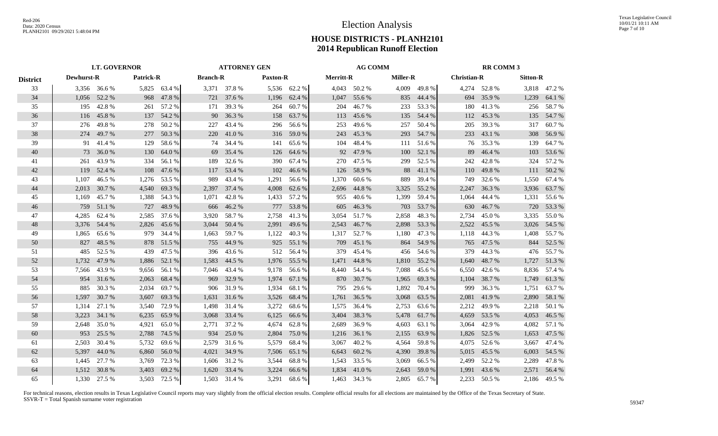|                 | <b>LT. GOVERNOR</b> |              |                  |              |       | <b>ATTORNEY GEN</b>                |       |                  |       |                 | <b>AG COMM</b> |                    |       |                 | <b>RR COMM 3</b> |              |  |  |
|-----------------|---------------------|--------------|------------------|--------------|-------|------------------------------------|-------|------------------|-------|-----------------|----------------|--------------------|-------|-----------------|------------------|--------------|--|--|
| <b>District</b> | Dewhurst-R          |              | <b>Patrick-R</b> |              |       | <b>Branch-R</b><br><b>Paxton-R</b> |       | <b>Merritt-R</b> |       | <b>Miller-R</b> |                | <b>Christian-R</b> |       | <b>Sitton-R</b> |                  |              |  |  |
| 33              |                     | 3,356 36.6 % |                  | 5,825 63.4 % |       | 3,371 37.8 %                       |       | 5,536 62.2 %     |       | 4,043 50.2 %    |                | 4,009 49.8 %       |       | 4,274 52.8 %    |                  | 3,818 47.2 % |  |  |
| 34              |                     | 1,056 52.2 % | 968              | 47.8%        |       | 721 37.6 %                         | 1,196 | 62.4 %           | 1,047 | 55.6 %          |                | 835 44.4 %         | 694   | 35.9 %          | 1,239            | 64.1 %       |  |  |
| 35              | 195                 | 42.8%        | 261              | 57.2 %       |       | 171 39.3 %                         | 264   | 60.7%            | 204   | 46.7%           |                | 233 53.3 %         | 180   | 41.3%           | 256              | 58.7%        |  |  |
| 36              | 116                 | 45.8%        | 137              | 54.2 %       |       | 90 36.3 %                          | 158   | 63.7 %           | 113   | 45.6 %          | 135            | 54.4 %             | 112   | 45.3 %          | 135              | 54.7%        |  |  |
| 37              | 276                 | 49.8%        | 278              | 50.2 %       | 227   | 43.4 %                             | 296   | 56.6%            | 253   | 49.6 %          | 257            | 50.4 %             | 205   | 39.3 %          | 317              | 60.7%        |  |  |
| 38              | 274                 | 49.7 %       | 277              | 50.3%        | 220   | 41.0%                              | 316   | 59.0%            | 243   | 45.3 %          | 293            | 54.7%              | 233   | 43.1 %          | 308              | 56.9%        |  |  |
| 39              | 91                  | 41.4 %       | 129              | 58.6%        | 74    | 34.4 %                             | 141   | 65.6%            | 104   | 48.4%           |                | 111 51.6 %         | 76    | 35.3 %          | 139              | 64.7%        |  |  |
| 40              | 73                  | 36.0%        | 130              | 64.0%        | 69    | 35.4 %                             | 126   | 64.6 %           | 92    | 47.9%           | 100            | 52.1 %             | 89    | 46.4%           | 103              | 53.6 %       |  |  |
| 41              | 261                 | 43.9%        | 334              | 56.1 %       | 189   | 32.6 %                             | 390   | 67.4 %           | 270   | 47.5 %          | 299            | 52.5 %             | 242   | 42.8%           | 324              | 57.2 %       |  |  |
| 42              | 119                 | 52.4 %       | 108              | 47.6 %       |       | 117 53.4 %                         | 102   | 46.6%            | 126   | 58.9%           | 88             | 41.1 %             | 110   | 49.8%           |                  | 111 50.2 %   |  |  |
| 43              | 1,107               | 46.5 %       |                  | 1,276 53.5 % | 989   | 43.4 %                             | 1,291 | 56.6%            | 1,370 | 60.6%           | 889            | 39.4 %             | 749   | 32.6 %          |                  | 1,550 67.4 % |  |  |
| 44              | 2,013               | 30.7%        | 4,540            | 69.3%        |       | 2,397 37.4 %                       | 4,008 | 62.6 %           | 2,696 | 44.8%           | 3,325          | 55.2 %             | 2,247 | 36.3%           | 3,936            | 63.7%        |  |  |
| 45              | 1,169               | 45.7%        | 1,388            | 54.3 %       | 1,071 | 42.8%                              | 1,433 | 57.2 %           | 955   | 40.6%           | 1,399          | 59.4%              | 1,064 | 44.4 %          | 1,331            | 55.6 %       |  |  |
| 46              | 759                 | 51.1 %       | 727              | 48.9%        | 666   | 46.2 %                             | 777   | 53.8%            | 605   | 46.3%           | 703            | 53.7 %             | 630   | 46.7 %          | 720              | 53.3 %       |  |  |
| 47              | 4,285               | 62.4 %       |                  | 2,585 37.6 % |       | 3,920 58.7 %                       | 2,758 | 41.3%            | 3,054 | 51.7%           | 2,858          | 48.3%              | 2,734 | 45.0%           |                  | 3,335 55.0 % |  |  |
| 48              | 3,376               | 54.4 %       | 2,826            | 45.6 %       |       | 3,044 50.4 %                       | 2,991 | 49.6%            | 2,543 | 46.7%           | 2,898          | 53.3 %             | 2,522 | 45.5 %          | 3,026            | 54.5 %       |  |  |
| 49              | 1,865               | 65.6%        | 979              | 34.4 %       | 1,663 | 59.7 %                             | 1,122 | 40.3%            | 1,317 | 52.7 %          | 1,180          | 47.3 %             | 1,118 | 44.3 %          | 1,408            | 55.7%        |  |  |
| 50              | 827                 | 48.5%        | 878              | 51.5 %       |       | 755 44.9 %                         | 925   | 55.1 %           | 709   | 45.1 %          | 864            | 54.9%              | 765   | 47.5 %          | 844              | 52.5 %       |  |  |
| 51              | 485                 | 52.5 %       | 439              | 47.5 %       |       | 396 43.6 %                         | 512   | 56.4 %           | 379   | 45.4 %          | 456            | 54.6 %             | 379   | 44.3 %          |                  | 476 55.7 %   |  |  |
| 52              | 1,732               | 47.9 %       | 1,886            | 52.1 %       | 1,583 | 44.5 %                             | 1,976 | 55.5 %           | 1,471 | 44.8%           | 1,810          | 55.2 %             | 1,640 | 48.7%           |                  | 1,727 51.3 % |  |  |
| 53              | 7,566               | 43.9%        | 9,656            | 56.1 %       |       | 7,046 43.4 %                       | 9,178 | 56.6%            |       | 8,440 54.4 %    | 7,088          | 45.6 %             | 6,550 | 42.6 %          | 8,836            | 57.4 %       |  |  |
| 54              | 954                 | 31.6 %       | 2,063            | 68.4 %       |       | 969 32.9 %                         | 1,974 | 67.1 %           |       | 870 30.7%       | 1,965          | 69.3%              | 1,104 | 38.7 %          | 1,749            | 61.3%        |  |  |
| 55              | 885                 | 30.3%        | 2,034            | 69.7%        |       | 906 31.9 %                         | 1,934 | 68.1 %           | 795   | 29.6 %          | 1,892          | 70.4 %             | 999   | 36.3%           | 1,751            | 63.7%        |  |  |
| 56              | 1,597               | 30.7 %       | 3,607            | 69.3%        | 1,631 | 31.6 %                             | 3,526 | 68.4 %           | 1,761 | 36.5 %          | 3,068          | 63.5 %             | 2,081 | 41.9%           | 2,890            | 58.1 %       |  |  |
| 57              | 1,314               | 27.1 %       | 3,540            | 72.9 %       | 1,498 | 31.4 %                             | 3,272 | 68.6%            | 1,575 | 36.4 %          | 2,753          | 63.6 %             | 2,212 | 49.9%           | 2,218            | 50.1 %       |  |  |
| 58              | 3,223               | 34.1 %       | 6,235            | 65.9%        | 3,068 | 33.4 %                             | 6,125 | 66.6 %           | 3,404 | 38.3 %          | 5,478          | 61.7%              | 4,659 | 53.5 %          | 4,053            | 46.5 %       |  |  |
| 59              | 2,648               | 35.0%        | 4,921            | 65.0%        | 2,771 | 37.2 %                             | 4,674 | 62.8%            | 2,689 | 36.9%           | 4,603          | 63.1 %             | 3,064 | 42.9%           | 4,082            | 57.1 %       |  |  |
| 60              | 953                 | 25.5 %       | 2,788            | 74.5 %       | 934   | 25.0%                              | 2,804 | 75.0%            | 1,216 | 36.1 %          | 2,155          | 63.9%              |       | 1,826 52.5 %    | 1,653            | 47.5 %       |  |  |
| 61              | 2,503               | 30.4 %       |                  | 5,732 69.6 % |       | 2,579 31.6 %                       | 5,579 | 68.4 %           | 3,067 | 40.2%           | 4,564          | 59.8%              |       | 4,075 52.6 %    |                  | 3,667 47.4 % |  |  |
| 62              | 5,397               | 44.0 %       | 6,860            | 56.0%        |       | 4,021 34.9 %                       | 7,506 | 65.1 %           | 6,643 | 60.2%           | 4,390          | 39.8%              | 5,015 | 45.5 %          | 6,003            | 54.5 %       |  |  |
| 63              | 1,445               | 27.7 %       | 3,769            | 72.3 %       |       | 1,606 31.2 %                       | 3,544 | 68.8%            |       | 1,543 33.5 %    | 3,069          | 66.5 %             | 2,499 | 52.2 %          |                  | 2,289 47.8 % |  |  |
| 64              | 1,512               | 30.8%        | 3,403            | 69.2%        | 1,620 | 33.4 %                             | 3,224 | 66.6%            | 1,834 | 41.0%           | 2,643          | 59.0%              | 1,991 | 43.6 %          |                  | 2,571 56.4 % |  |  |
| 65              |                     | 1,330 27.5 % |                  | 3,503 72.5 % |       | 1,503 31.4 %                       | 3,291 | 68.6%            |       | 1,463 34.3 %    | 2,805          | 65.7 %             |       | 2,233 50.5 %    |                  | 2,186 49.5 % |  |  |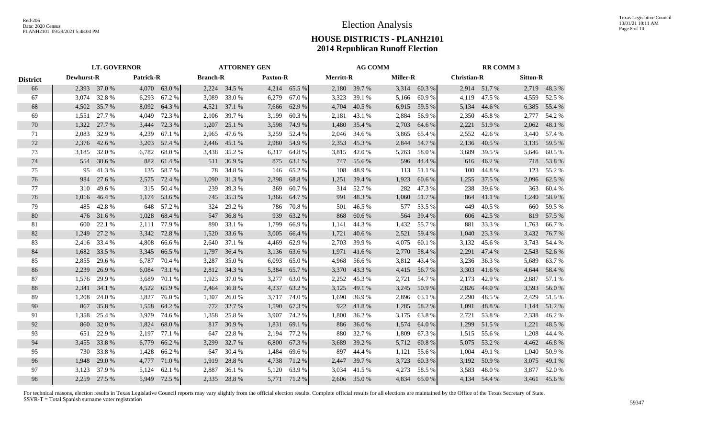|                 | <b>LT. GOVERNOR</b> |              |                  |              | <b>ATTORNEY GEN</b> |                                    |       |              |                  | <b>AG COMM</b> |                 |              |                    | <b>RR COMM 3</b> |                 |              |  |
|-----------------|---------------------|--------------|------------------|--------------|---------------------|------------------------------------|-------|--------------|------------------|----------------|-----------------|--------------|--------------------|------------------|-----------------|--------------|--|
| <b>District</b> | Dewhurst-R          |              | <b>Patrick-R</b> |              |                     | <b>Branch-R</b><br><b>Paxton-R</b> |       |              | <b>Merritt-R</b> |                | <b>Miller-R</b> |              | <b>Christian-R</b> |                  | <b>Sitton-R</b> |              |  |
| 66              |                     | 2,393 37.0 % |                  | 4,070 63.0 % |                     | 2,224 34.5 %                       |       | 4,214 65.5 % |                  | 2,180 39.7 %   |                 | 3,314 60.3 % |                    | 2,914 51.7 %     |                 | 2,719 48.3 % |  |
| 67              | 3.074               | 32.8%        | 6,293            | 67.2%        |                     | 3,089 33.0 %                       | 6,279 | 67.0%        | 3,323            | 39.1 %         |                 | 5,166 60.9 % | 4,119              | 47.5 %           | 4,559           | 52.5 %       |  |
| 68              | 4,502               | 35.7 %       | 8,092            | 64.3 %       |                     | 4,521 37.1 %                       | 7,666 | 62.9%        | 4,704            | 40.5 %         | 6,915           | 59.5 %       | 5,134              | 44.6 %           | 6,385           | 55.4 %       |  |
| 69              | 1,551               | 27.7 %       | 4,049            | 72.3 %       | 2,106               | 39.7 %                             | 3,199 | 60.3%        | 2,181            | 43.1 %         | 2,884           | 56.9 %       | 2,350              | 45.8%            | 2,777           | 54.2 %       |  |
| 70              | 1,322               | 27.7 %       | 3,444            | 72.3 %       | 1,207               | 25.1 %                             | 3,598 | 74.9 %       | 1,480            | 35.4 %         | 2,703           | 64.6 %       | 2,221              | 51.9%            | 2,062           | 48.1 %       |  |
| 71              | 2,083               | 32.9 %       | 4,239            | 67.1 %       | 2,965               | 47.6 %                             | 3,259 | 52.4 %       | 2,046            | 34.6 %         | 3,865           | 65.4 %       | 2,552              | 42.6 %           | 3,440           | 57.4 %       |  |
| 72              | 2,376               | 42.6 %       | 3,203            | 57.4 %       | 2,446               | 45.1 %                             | 2,980 | 54.9%        | 2,353            | 45.3%          | 2,844           | 54.7 %       | 2,136              | 40.5 %           | 3,135           | 59.5 %       |  |
| 73              | 3,185               | 32.0%        | 6,782            | 68.0%        |                     | 3,438 35.2 %                       | 6,317 | 64.8%        | 3,815            | 42.0 %         | 5,263           | 58.0%        | 3.689              | 39.5 %           | 5,646           | 60.5 %       |  |
| 74              | 554                 | 38.6 %       | 882              | 61.4 %       |                     | 511 36.9%                          | 875   | 63.1 %       | 747              | 55.6 %         | 596             | 44.4 %       | 616                | 46.2%            | 718             | 53.8%        |  |
| 75              | 95                  | 41.3%        | 135              | 58.7%        | 78                  | 34.8%                              | 146   | 65.2%        | 108              | 48.9%          | 113             | 51.1 %       | 100                | 44.8%            | 123             | 55.2 %       |  |
| 76              | 984                 | 27.6 %       | 2,575            | 72.4 %       | 1,090               | 31.3 %                             | 2,398 | 68.8%        | 1,251            | 39.4 %         | 1,923           | 60.6 %       | 1,255              | 37.5 %           | 2,096           | 62.5 %       |  |
| 77              | 310                 | 49.6 %       | 315              | 50.4 %       | 239                 | 39.3%                              | 369   | 60.7%        | 314              | 52.7 %         | 282             | 47.3%        | 238                | 39.6 %           | 363             | 60.4%        |  |
| 78              | 1,016               | 46.4%        | 1,174            | 53.6%        | 745                 | 35.3 %                             | 1,366 | 64.7%        | 991              | 48.3%          | 1,060           | 51.7%        | 864                | 41.1%            | 1,240           | 58.9%        |  |
| 79              | 485                 | 42.8%        | 648              | 57.2 %       | 324                 | 29.2 %                             | 786   | 70.8%        | 501              | 46.5 %         | 577             | 53.5 %       | 449                | 40.5 %           | 660             | 59.5 %       |  |
| 80              | 476                 | 31.6%        | 1,028            | 68.4 %       | 547                 | 36.8%                              | 939   | 63.2%        | 868              | 60.6%          | 564             | 39.4 %       | 606                | 42.5 %           | 819             | 57.5 %       |  |
| 81              | 600                 | 22.1 %       | 2,111            | 77.9 %       | 890                 | 33.1 %                             | 1,799 | 66.9%        | 1,141            | 44.3 %         | 1,432           | 55.7 %       | 881                | 33.3 %           | 1,763           | 66.7%        |  |
| 82              | 1,249               | 27.2 %       | 3,342            | 72.8%        | 1,520               | 33.6 %                             | 3,005 | 66.4%        | 1,721            | 40.6%          | 2,521           | 59.4 %       | 1,040              | 23.3 %           | 3,432           | 76.7 %       |  |
| 83              | 2,416               | 33.4 %       | 4,808            | 66.6%        | 2.640               | 37.1 %                             | 4,469 | 62.9%        | 2.703            | 39.9 %         | 4,075           | 60.1%        | 3,132              | 45.6 %           | 3,743           | 54.4 %       |  |
| 84              | 1,682               | 33.5 %       | 3,345            | 66.5 %       | 1,797               | 36.4 %                             | 3,136 | 63.6 %       | 1,971            | 41.6 %         | 2,770           | 58.4 %       | 2,291              | 47.4 %           | 2,543           | 52.6 %       |  |
| 85              | 2,855               | 29.6 %       | 6,787            | 70.4 %       | 3,287               | 35.0 %                             | 6,093 | 65.0%        | 4,968            | 56.6 %         | 3,812           | 43.4 %       | 3,236              | 36.3 %           | 5,689           | 63.7%        |  |
| 86              | 2,239               | 26.9%        | 6,084            | 73.1 %       |                     | 2,812 34.3 %                       | 5,384 | 65.7%        | 3,370            | 43.3 %         | 4,415           | 56.7 %       | 3,303              | 41.6 %           | 4,644           | 58.4 %       |  |
| 87              | 1,576               | 29.9%        | 3,689            | 70.1 %       | 1,923               | 37.0 %                             | 3,277 | 63.0%        | 2,252            | 45.3 %         | 2,721           | 54.7 %       | 2,173              | 42.9 %           | 2,887           | 57.1 %       |  |
| 88              | 2,341               | 34.1 %       | 4,522            | 65.9%        | 2,464               | 36.8%                              | 4,237 | 63.2%        | 3,125            | 49.1 %         | 3,245           | 50.9%        | 2,826              | 44.0 %           | 3,593           | 56.0%        |  |
| 89              | 1,208               | 24.0 %       | 3,827            | 76.0%        | 1,307               | 26.0%                              | 3,717 | 74.0%        | 1,690            | 36.9%          | 2,896           | 63.1 %       | 2,290              | 48.5 %           | 2,429           | 51.5 %       |  |
| 90              | 867                 | 35.8%        | 1,558            | 64.2 %       | 772                 | 32.7 %                             | 1,590 | 67.3 %       | 922              | 41.8%          | 1,285           | 58.2 %       | 1,091              | 48.8%            | 1,144           | 51.2%        |  |
| 91              | 1,358               | 25.4 %       | 3,979            | 74.6 %       | 1,358               | 25.8%                              | 3,907 | 74.2 %       | 1,800            | 36.2 %         | 3,175           | 63.8%        | 2,721              | 53.8%            | 2,338           | 46.2%        |  |
| 92              | 860                 | 32.0%        | 1,824            | 68.0%        | 817                 | 30.9%                              | 1,831 | 69.1 %       | 886              | 36.0%          | 1,574           | 64.0%        | 1,299              | 51.5 %           | 1,221           | 48.5 %       |  |
| 93              | 651                 | 22.9 %       | 2,197            | 77.1 %       | 647                 | 22.8%                              | 2,194 | 77.2 %       | 880              | 32.7 %         | 1,809           | 67.3 %       | 1,515              | 55.6 %           | 1,208           | 44.4 %       |  |
| 94              | 3,455               | 33.8 %       | 6,779            | 66.2%        | 3,299               | 32.7%                              | 6,800 | 67.3 %       | 3,689            | 39.2 %         | 5,712           | 60.8%        | 5,075              | 53.2 %           | 4,462           | 46.8%        |  |
| 95              | 730                 | 33.8%        | 1,428            | 66.2%        | 647                 | 30.4 %                             | 1,484 | 69.6 %       | 897              | 44.4 %         | 1,121           | 55.6 %       | 1,004              | 49.1 %           | 1,040           | 50.9%        |  |
| 96              | 1,948               | 29.0 %       | 4,777            | 71.0%        | 1,919               | 28.8%                              | 4,738 | 71.2 %       | 2,447            | 39.7 %         | 3,723           | 60.3%        | 3,192              | 50.9%            | 3,075           | 49.1 %       |  |
| 97              | 3,123               | 37.9%        | 5,124            | 62.1 %       | 2,887               | 36.1 %                             | 5,120 | 63.9%        | 3,034            | 41.5 %         | 4,273           | 58.5%        | 3,583              | 48.0%            | 3,877           | 52.0%        |  |
| 98              |                     | 2,259 27.5 % | 5.949            | 72.5 %       |                     | 2,335 28.8 %                       |       | 5,771 71.2 % |                  | 2,606 35.0 %   | 4.834           | 65.0%        |                    | 4,134 54.4 %     |                 | 3,461 45.6 % |  |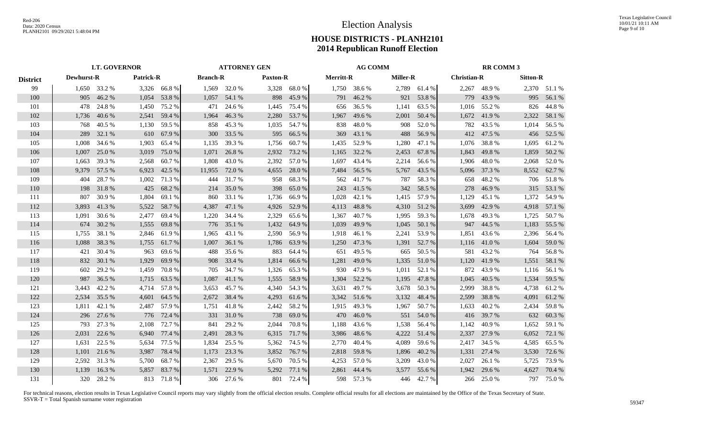# Election Analysis

# **HOUSE DISTRICTS - PLANH2101 2014 Republican Runoff Election**

|                 | <b>LT. GOVERNOR</b> |              |       | <b>ATTORNEY GEN</b> |        |                                    | <b>AG COMM</b> |              |                  |              | <b>RR COMM 3</b> |              |       |                    |       |                 |  |
|-----------------|---------------------|--------------|-------|---------------------|--------|------------------------------------|----------------|--------------|------------------|--------------|------------------|--------------|-------|--------------------|-------|-----------------|--|
| <b>District</b> | <b>Dewhurst-R</b>   |              |       | <b>Patrick-R</b>    |        | <b>Branch-R</b><br><b>Paxton-R</b> |                |              | <b>Merritt-R</b> |              | <b>Miller-R</b>  |              |       | <b>Christian-R</b> |       | <b>Sitton-R</b> |  |
| 99              |                     | 1,650 33.2 % |       | 3,326 66.8 %        |        | 1,569 32.0 %                       |                | 3,328 68.0 % |                  | 1,750 38.6 % |                  | 2,789 61.4 % |       | 2,267 48.9 %       |       | 2,370 51.1 %    |  |
| 100             | 905                 | 46.2 %       |       | 1,054 53.8 %        |        | 1,057 54.1 %                       | 898            | 45.9%        | 791              | 46.2%        |                  | 921 53.8 %   |       | 779 43.9 %         |       | 995 56.1 %      |  |
| 101             | 478                 | 24.8%        | 1,450 | 75.2 %              | 471    | 24.6 %                             | 1,445          | 75.4 %       | 656              | 36.5 %       | 1,141            | 63.5 %       |       | 1,016 55.2 %       | 826   | 44.8%           |  |
| 102             | 1,736               | 40.6 %       | 2,541 | 59.4 %              | 1,964  | 46.3%                              | 2,280          | 53.7%        | 1,967            | 49.6%        | 2,001            | 50.4 %       | 1,672 | 41.9%              | 2,322 | 58.1 %          |  |
| 103             | 768                 | 40.5 %       | 1,130 | 59.5 %              |        | 858 45.3 %                         | 1,035          | 54.7 %       | 838              | 48.0%        | 908              | 52.0 %       | 782   | 43.5 %             | 1,014 | 56.5 %          |  |
| 104             | 289                 | 32.1 %       | 610   | 67.9%               |        | 300 33.5 %                         | 595            | 66.5 %       | 369              | 43.1 %       | 488              | 56.9%        | 412   | 47.5 %             | 456   | 52.5 %          |  |
| 105             | 1,008               | 34.6 %       | 1,903 | 65.4 %              | 1,135  | 39.3 %                             | 1,756          | 60.7%        | 1,435            | 52.9 %       | 1,280            | 47.1 %       | 1,076 | 38.8%              | 1,695 | 61.2%           |  |
| 106             | 1,007               | 25.0%        | 3,019 | 75.0%               | 1,071  | 26.8%                              | 2,932          | 73.2 %       | 1,165            | 32.2 %       | 2,453            | 67.8%        | 1,843 | 49.8%              | 1,859 | 50.2 %          |  |
| 107             | 1,663               | 39.3 %       | 2,568 | 60.7%               | 1,808  | 43.0%                              | 2,392          | 57.0 %       | 1,697            | 43.4 %       | 2,214            | 56.6 %       | 1,906 | 48.0 %             | 2,068 | 52.0%           |  |
| 108             | 9,379               | 57.5 %       | 6,923 | 42.5 %              | 11,955 | 72.0 %                             | 4,655          | 28.0%        | 7,484            | 56.5 %       | 5,767            | 43.5 %       |       | 5,096 37.3 %       | 8,552 | 62.7%           |  |
| 109             | 404                 | 28.7 %       | 1,002 | 71.3%               | 444    | 31.7 %                             | 958            | 68.3%        |                  | 562 41.7 %   | 787              | 58.3 %       | 658   | 48.2 %             | 706   | 51.8%           |  |
| 110             | 198                 | 31.8%        | 425   | 68.2%               | 214    | 35.0%                              | 398            | 65.0%        | 243              | 41.5%        |                  | 342 58.5 %   | 278   | 46.9%              | 315   | 53.1 %          |  |
| 111             | 807                 | 30.9%        | 1,804 | 69.1 %              | 860    | 33.1 %                             | 1,736          | 66.9%        | 1,028            | 42.1 %       |                  | 1,415 57.9 % | 1,129 | 45.1 %             | 1,372 | 54.9%           |  |
| 112             | 3,893               | 41.3%        | 5,522 | 58.7 %              | 4,387  | 47.1 %                             | 4,926          | 52.9%        | 4,113            | 48.8%        |                  | 4,310 51.2 % | 3,699 | 42.9 %             | 4,918 | 57.1 %          |  |
| 113             | 1,091               | 30.6 %       | 2,477 | 69.4 %              |        | 1,220 34.4 %                       | 2,329          | 65.6%        | 1,367            | 40.7 %       | 1,995            | 59.3 %       | 1.678 | 49.3 %             |       | 1,725 50.7 %    |  |
| 114             | 674                 | 30.2 %       | 1,555 | 69.8%               |        | 776 35.1 %                         | 1,432          | 64.9%        | 1,039            | 49.9%        | 1,045            | 50.1 %       | 947   | 44.5 %             | 1,183 | 55.5 %          |  |
| 115             | 1,755               | 38.1 %       | 2,846 | 61.9%               | 1,965  | 43.1 %                             | 2,590          | 56.9%        | 1,918            | 46.1%        | 2,241            | 53.9%        | 1,851 | 43.6 %             | 2,396 | 56.4 %          |  |
| 116             | 1,088               | 38.3%        | 1,755 | 61.7 %              | 1,007  | 36.1 %                             | 1,786          | 63.9%        | 1,250            | 47.3 %       |                  | 1,391 52.7 % | 1,116 | 41.0 %             | 1,604 | 59.0%           |  |
| 117             | 421                 | 30.4 %       | 963   | 69.6%               | 488    | 35.6 %                             | 883            | 64.4 %       | 651              | 49.5 %       | 665              | 50.5 %       | 581   | 43.2 %             |       | 764 56.8 %      |  |
| 118             | 832                 | 30.1 %       | 1,929 | 69.9%               |        | 908 33.4 %                         | 1,814          | 66.6%        | 1,281            | 49.0%        | 1,335            | 51.0%        | 1,120 | 41.9%              | 1,551 | 58.1 %          |  |
| 119             | 602                 | 29.2 %       | 1,459 | 70.8%               | 705    | 34.7 %                             | 1,326          | 65.3%        | 930              | 47.9%        | 1,011            | 52.1 %       | 872   | 43.9%              | 1,116 | 56.1%           |  |
| 120             | 987                 | 36.5%        | 1,715 | 63.5 %              | 1,087  | 41.1%                              | 1,555          | 58.9%        | 1,304            | 52.2 %       | 1,195            | 47.8%        | 1,045 | 40.5 %             |       | 1,534 59.5 %    |  |
| 121             | 3,443               | 42.2 %       |       | 4,714 57.8 %        |        | 3,653 45.7 %                       | 4,340          | 54.3 %       | 3,631            | 49.7%        | 3,678            | 50.3 %       | 2,999 | 38.8%              | 4,738 | 61.2%           |  |
| 122             | 2,534               | 35.5 %       | 4,601 | 64.5 %              |        | 2,672 38.4 %                       | 4,293          | 61.6 %       |                  | 3,342 51.6 % | 3,132            | 48.4 %       | 2,599 | 38.8%              | 4,091 | 61.2%           |  |
| 123             | 1,811               | 42.1 %       | 2,487 | 57.9 %              | 1,751  | 41.8%                              | 2,442          | 58.2 %       | 1,915            | 49.3%        | 1,967            | 50.7%        | 1,633 | 40.2 %             | 2,434 | 59.8%           |  |
| 124             | 296                 | 27.6 %       | 776   | 72.4 %              |        | 331 31.0 %                         | 738            | 69.0%        | 470              | 46.0%        |                  | 551 54.0 %   | 416   | 39.7 %             | 632   | 60.3%           |  |
| 125             | 793                 | 27.3 %       | 2,108 | 72.7 %              | 841    | 29.2 %                             | 2,044          | 70.8%        | 1.188            | 43.6 %       | 1,538            | 56.4 %       | 1,142 | 40.9%              | 1,652 | 59.1 %          |  |
| 126             | 2,031               | 22.6 %       | 6,940 | 77.4 %              | 2,491  | 28.3%                              | 6,315          | 71.7%        | 3,986            | 48.6%        | 4,222            | 51.4 %       |       | 2,337 27.9 %       | 6,052 | 72.1 %          |  |
| 127             | 1,631               | 22.5 %       |       | 5,634 77.5 %        | 1,834  | 25.5 %                             | 5,362          | 74.5 %       | 2,770            | 40.4 %       | 4,089            | 59.6 %       |       | 2,417 34.5 %       | 4,585 | 65.5 %          |  |
| 128             | 1,101               | 21.6 %       | 3,987 | 78.4 %              | 1,173  | 23.3 %                             | 3,852          | 76.7%        |                  | 2,818 59.8 % | 1,896            | 40.2%        | 1,331 | 27.4 %             | 3,530 | 72.6 %          |  |
| 129             | 2,592               | 31.3%        |       | 5,700 68.7 %        | 2,367  | 29.5 %                             | 5,670          | 70.5 %       |                  | 4,253 57.0 % | 3,209            | 43.0%        | 2,027 | 26.1 %             |       | 5,725 73.9 %    |  |
| 130             | 1,139               | 16.3%        |       | 5,857 83.7 %        | 1,571  | 22.9 %                             | 5,292          | 77.1 %       | 2,861            | 44.4 %       | 3,577            | 55.6%        | 1,942 | 29.6 %             | 4,627 | 70.4 %          |  |
| 131             |                     | 320 28.2 %   |       | 813 71.8 %          |        | 306 27.6 %                         | 801            | 72.4 %       |                  | 598 57.3 %   |                  | 446 42.7 %   |       | 266 25.0 %         |       | 797 75.0 %      |  |